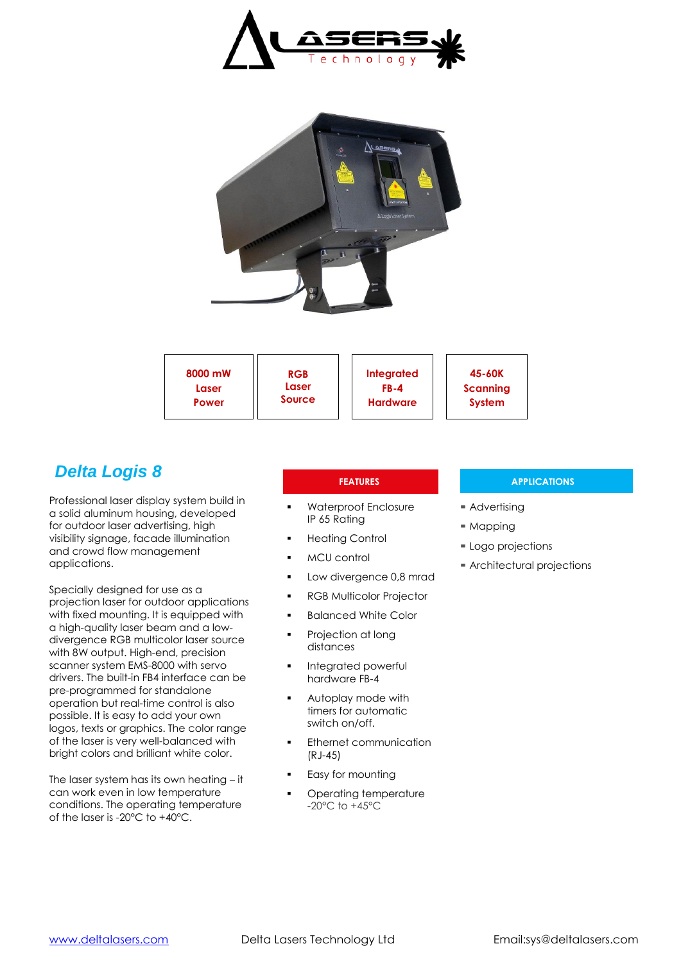



| 8000 mW       | 45-60K          |
|---------------|-----------------|
| <b>RGB</b>    | Integrated      |
| Laser         | <b>FB-4</b>     |
| Laser         | <b>Scanning</b> |
| <b>Source</b> | <b>System</b>   |
| Power         | <b>Hardware</b> |

# *Delta Logis 8*

Professional laser display system build in a solid aluminum housing, developed for outdoor laser advertising, high visibility signage, facade illumination and crowd flow management applications.

Specially designed for use as a projection laser for outdoor applications with fixed mounting. It is equipped with a high-quality laser beam and a lowdivergence RGB multicolor laser source with 8W output. High-end, precision scanner system EMS-8000 with servo drivers. The built-in FB4 interface can be pre-programmed for standalone operation but real-time control is also possible. It is easy to add your own logos, texts or graphics. The color range of the laser is very well-balanced with bright colors and brilliant white color.

The laser system has its own heating – it can work even in low temperature conditions. The operating temperature of the laser is -20°C to +40°C.

- Waterproof Enclosure IP 65 Rating
- Heating Control
- MCU control
- Low divergence 0,8 mrad
- RGB Multicolor Projector
- Balanced White Color
- Projection at long distances
- Integrated powerful hardware FB-4
- Autoplay mode with timers for automatic switch on/off.
- Ethernet communication (RJ-45)
- Easy for mounting
- Operating temperature -20°C to +45°C

### **FEATURES APPLICATIONS**

- Advertising
- $M$ Mapping
- Logo projections
- Architectural projections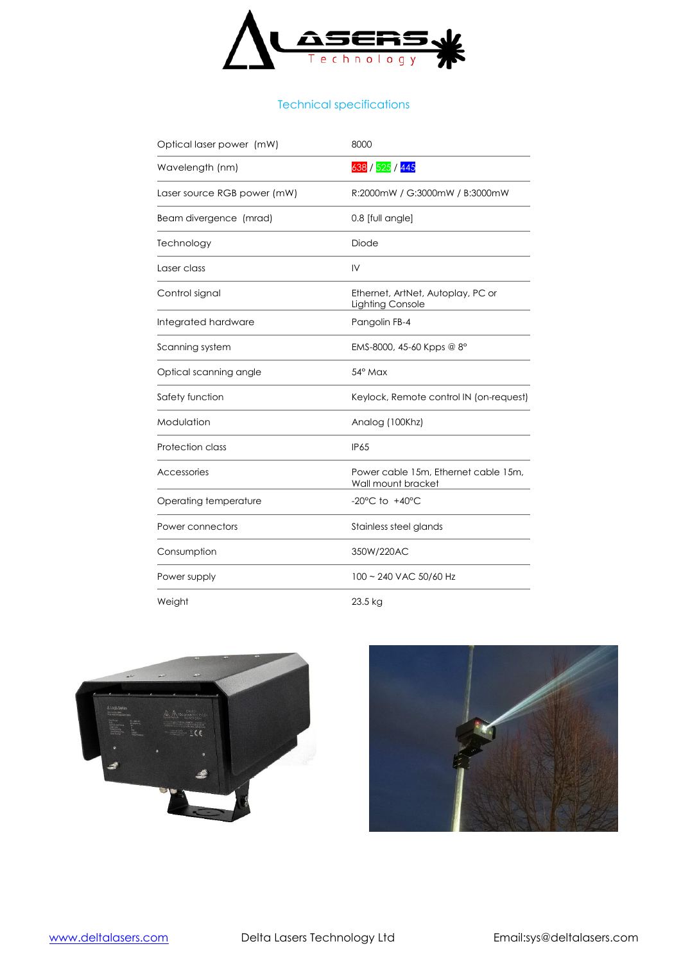

## Technical specifications

| Optical laser power (mW)    | 8000                                                       |
|-----------------------------|------------------------------------------------------------|
| Wavelength (nm)             | 638 / 525 / 445                                            |
| Laser source RGB power (mW) | R:2000mW / G:3000mW / B:3000mW                             |
| Beam divergence (mrad)      | 0.8 [full angle]                                           |
| Technology                  | Diode                                                      |
| Laser class                 | $\mathsf{IV}$                                              |
| Control signal              | Ethernet, ArtNet, Autoplay, PC or<br>Lighting Console      |
| Integrated hardware         | Pangolin FB-4                                              |
| Scanning system             | EMS-8000, 45-60 Kpps @ $8^{\circ}$                         |
| Optical scanning angle      | $54^\circ$ Max                                             |
| Safety function             | Keylock, Remote control IN (on-request)                    |
| Modulation                  | Analog (100Khz)                                            |
| <b>Protection class</b>     | <b>IP65</b>                                                |
| Accessories                 | Power cable 15m, Ethernet cable 15m,<br>Wall mount bracket |
| Operating temperature       | $-20^{\circ}$ C to $+40^{\circ}$ C                         |
| Power connectors            | Stainless steel glands                                     |
| Consumption                 | 350W/220AC                                                 |
| Power supply                | 100 ~ 240 VAC 50/60 Hz                                     |
| Weight                      | 23.5 kg                                                    |